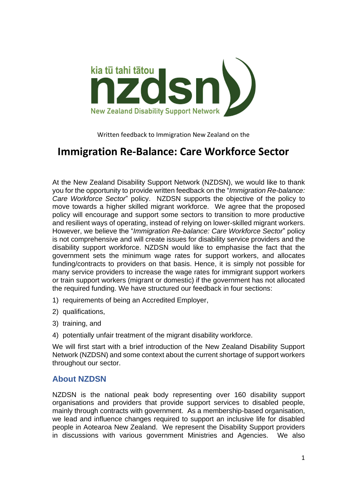

Written feedback to Immigration New Zealand on the

# **Immigration Re-Balance: Care Workforce Sector**

At the New Zealand Disability Support Network (NZDSN), we would like to thank you for the opportunity to provide written feedback on the "*Immigration Re-balance: Care Workforce Sector*" policy. NZDSN supports the objective of the policy to move towards a higher skilled migrant workforce. We agree that the proposed policy will encourage and support some sectors to transition to more productive and resilient ways of operating, instead of relying on lower-skilled migrant workers. However, we believe the "*Immigration Re-balance: Care Workforce Sector*" policy is not comprehensive and will create issues for disability service providers and the disability support workforce. NZDSN would like to emphasise the fact that the government sets the minimum wage rates for support workers, and allocates funding/contracts to providers on that basis. Hence, it is simply not possible for many service providers to increase the wage rates for immigrant support workers or train support workers (migrant or domestic) if the government has not allocated the required funding. We have structured our feedback in four sections:

- 1) requirements of being an Accredited Employer,
- 2) qualifications,
- 3) training, and
- 4) potentially unfair treatment of the migrant disability workforce.

We will first start with a brief introduction of the New Zealand Disability Support Network (NZDSN) and some context about the current shortage of support workers throughout our sector.

#### **About NZDSN**

NZDSN is the national peak body representing over 160 disability support organisations and providers that provide support services to disabled people, mainly through contracts with government. As a membership-based organisation, we lead and influence changes required to support an inclusive life for disabled people in Aotearoa New Zealand. We represent the Disability Support providers in discussions with various government Ministries and Agencies. We also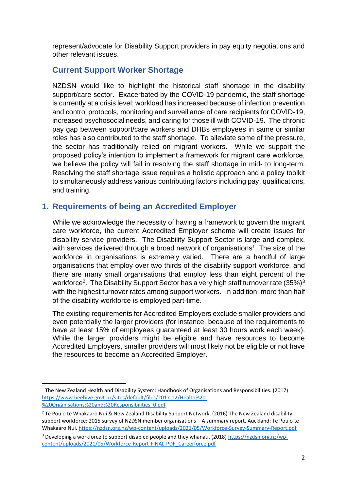represent/advocate for Disability Support providers in pay equity negotiations and other relevant issues.

## **Current Support Worker Shortage**

NZDSN would like to highlight the historical staff shortage in the disability support/care sector. Exacerbated by the COVID-19 pandemic, the staff shortage is currently at a crisis level; workload has increased because of infection prevention and control protocols, monitoring and surveillance of care recipients for COVID-19, increased psychosocial needs, and caring for those ill with COVID-19. The chronic pay gap between support/care workers and DHBs employees in same or similar roles has also contributed to the staff shortage. To alleviate some of the pressure, the sector has traditionally relied on migrant workers. While we support the proposed policy's intention to implement a framework for migrant care workforce, we believe the policy will fail in resolving the staff shortage in mid- to long-term. Resolving the staff shortage issue requires a holistic approach and a policy toolkit to simultaneously address various contributing factors including pay, qualifications, and training.

#### **1. Requirements of being an Accredited Employer**

While we acknowledge the necessity of having a framework to govern the migrant care workforce, the current Accredited Employer scheme will create issues for disability service providers. The Disability Support Sector is large and complex, with services delivered through a broad network of organisations<sup>1</sup>. The size of the workforce in organisations is extremely varied. There are a handful of large organisations that employ over two thirds of the disability support workforce, and there are many small organisations that employ less than eight percent of the workforce<sup>2</sup>. The Disability Support Sector has a very high staff turnover rate (35%)<sup>3</sup> with the highest turnover rates among support workers. In addition, more than half of the disability workforce is employed part-time.

The existing requirements for Accredited Employers exclude smaller providers and even potentially the larger providers (for instance, because of the requirements to have at least 15% of employees guaranteed at least 30 hours work each week). While the larger providers might be eligible and have resources to become Accredited Employers, smaller providers will most likely not be eligible or not have the resources to become an Accredited Employer.

<sup>1</sup> The New Zealand Health and Disability System: Handbook of Organisations and Responsibilities. (2017) [https://www.beehive.govt.nz/sites/default/files/2017-12/Health%20-](https://www.beehive.govt.nz/sites/default/files/2017-12/Health%20-%20Organisations%20and%20Responsibilities_0.pdf) [%20Organisations%20and%20Responsibilities\\_0.pdf](https://www.beehive.govt.nz/sites/default/files/2017-12/Health%20-%20Organisations%20and%20Responsibilities_0.pdf)

<sup>&</sup>lt;sup>2</sup> Te Pou o te Whakaaro Nui & New Zealand Disability Support Network. (2016) The New Zealand disability support workforce: 2015 survey of NZDSN member organisations – A summary report. Auckland: Te Pou o te Whakaaro Nui.<https://nzdsn.org.nz/wp-content/uploads/2021/05/Workforce-Survey-Summary-Report.pdf>

<sup>3</sup> Developing a workforce to support disabled people and they whānau. (2018) [https://nzdsn.org.nz/wp](https://nzdsn.org.nz/wp-content/uploads/2021/05/Workforce-Report-FINAL-PDF_Careerforce.pdf)[content/uploads/2021/05/Workforce-Report-FINAL-PDF\\_Careerforce.pdf](https://nzdsn.org.nz/wp-content/uploads/2021/05/Workforce-Report-FINAL-PDF_Careerforce.pdf)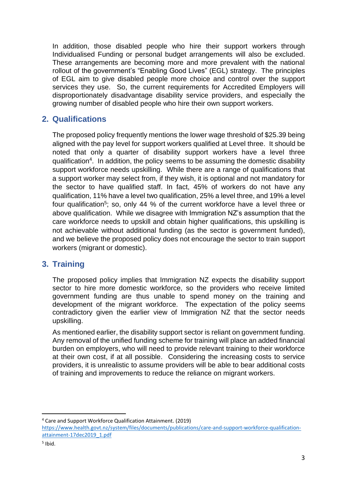In addition, those disabled people who hire their support workers through Individualised Funding or personal budget arrangements will also be excluded. These arrangements are becoming more and more prevalent with the national rollout of the government's "Enabling Good Lives" (EGL) strategy. The principles of EGL aim to give disabled people more choice and control over the support services they use. So, the current requirements for Accredited Employers will disproportionately disadvantage disability service providers, and especially the growing number of disabled people who hire their own support workers.

## **2. Qualifications**

The proposed policy frequently mentions the lower wage threshold of \$25.39 being aligned with the pay level for support workers qualified at Level three. It should be noted that only a quarter of disability support workers have a level three qualification<sup>4</sup>. In addition, the policy seems to be assuming the domestic disability support workforce needs upskilling. While there are a range of qualifications that a support worker may select from, if they wish, it is optional and not mandatory for the sector to have qualified staff. In fact, 45% of workers do not have any qualification, 11% have a level two qualification, 25% a level three, and 19% a level four qualification<sup>5</sup>; so, only 44 % of the current workforce have a level three or above qualification. While we disagree with Immigration NZ's assumption that the care workforce needs to upskill and obtain higher qualifications, this upskilling is not achievable without additional funding (as the sector is government funded), and we believe the proposed policy does not encourage the sector to train support workers (migrant or domestic).

## **3. Training**

The proposed policy implies that Immigration NZ expects the disability support sector to hire more domestic workforce, so the providers who receive limited government funding are thus unable to spend money on the training and development of the migrant workforce. The expectation of the policy seems contradictory given the earlier view of Immigration NZ that the sector needs upskilling.

As mentioned earlier, the disability support sector is reliant on government funding. Any removal of the unified funding scheme for training will place an added financial burden on employers, who will need to provide relevant training to their workforce at their own cost, if at all possible. Considering the increasing costs to service providers, it is unrealistic to assume providers will be able to bear additional costs of training and improvements to reduce the reliance on migrant workers.

<sup>4</sup> Care and Support Workforce Qualification Attainment. (2019)

[https://www.health.govt.nz/system/files/documents/publications/care-and-support-workforce-qualification](https://www.health.govt.nz/system/files/documents/publications/care-and-support-workforce-qualification-attainment-17dec2019_1.pdf)[attainment-17dec2019\\_1.pdf](https://www.health.govt.nz/system/files/documents/publications/care-and-support-workforce-qualification-attainment-17dec2019_1.pdf)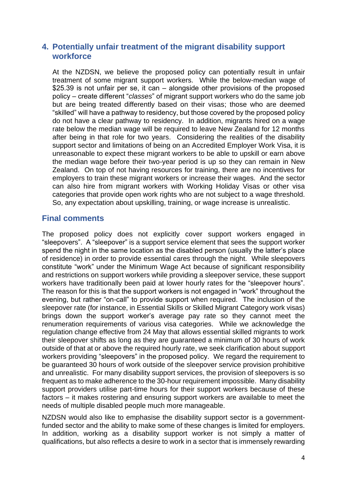#### **4. Potentially unfair treatment of the migrant disability support workforce**

At the NZDSN, we believe the proposed policy can potentially result in unfair treatment of some migrant support workers. While the below-median wage of \$25.39 is not unfair per se, it can  $-$  alongside other provisions of the proposed policy ‒ create different "*classes*" of migrant support workers who do the same job but are being treated differently based on their visas; those who are deemed "skilled" will have a pathway to residency, but those covered by the proposed policy do not have a clear pathway to residency. In addition, migrants hired on a wage rate below the median wage will be required to leave New Zealand for 12 months after being in that role for two years. Considering the realities of the disability support sector and limitations of being on an Accredited Employer Work Visa, it is unreasonable to expect these migrant workers to be able to upskill or earn above the median wage before their two-year period is up so they can remain in New Zealand. On top of not having resources for training, there are no incentives for employers to train these migrant workers or increase their wages. And the sector can also hire from migrant workers with Working Holiday Visas or other visa categories that provide open work rights who are not subject to a wage threshold. So, any expectation about upskilling, training, or wage increase is unrealistic.

#### **Final comments**

The proposed policy does not explicitly cover support workers engaged in "sleepovers". A "sleepover" is a support service element that sees the support worker spend the night in the same location as the disabled person (usually the latter's place of residence) in order to provide essential cares through the night. While sleepovers constitute "work" under the Minimum Wage Act because of significant responsibility and restrictions on support workers while providing a sleepover service, these support workers have traditionally been paid at lower hourly rates for the "sleepover hours". The reason for this is that the support workers is not engaged in "work" throughout the evening, but rather "on-call" to provide support when required. The inclusion of the sleepover rate (for instance, in Essential Skills or Skilled Migrant Category work visas) brings down the support worker's average pay rate so they cannot meet the renumeration requirements of various visa categories. While we acknowledge the regulation change effective from 24 May that allows essential skilled migrants to work their sleepover shifts as long as they are guaranteed a minimum of 30 hours of work outside of that at or above the required hourly rate, we seek clarification about support workers providing "sleepovers" in the proposed policy. We regard the requirement to be guaranteed 30 hours of work outside of the sleepover service provision prohibitive and unrealistic. For many disability support services, the provision of sleepovers is so frequent as to make adherence to the 30-hour requirement impossible. Many disability support providers utilise part-time hours for their support workers because of these factors – it makes rostering and ensuring support workers are available to meet the needs of multiple disabled people much more manageable.

NZDSN would also like to emphasise the disability support sector is a governmentfunded sector and the ability to make some of these changes is limited for employers. In addition, working as a disability support worker is not simply a matter of qualifications, but also reflects a desire to work in a sector that is immensely rewarding